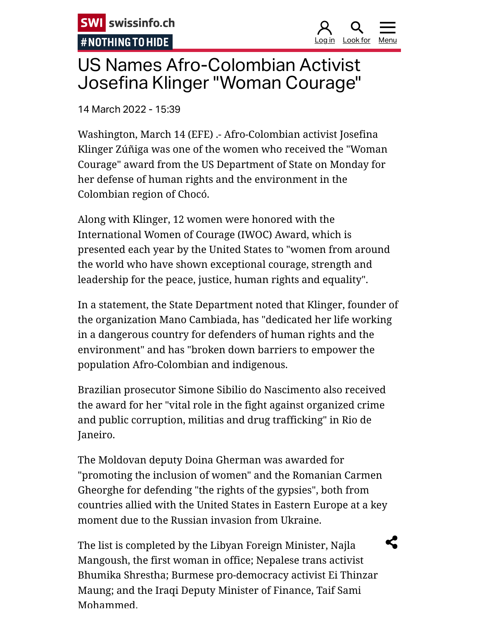**SWI** swissinfo.ch #NOTHING TO HIDE

<u>og in Look for Men</u>

## US Names Afro-Colombian Activist Josefina Klinger "Woman Courage"

14 March 2022 - 15:39

Washington, March 14 (EFE) .- Afro-Colombian activist Josefina Klinger Zúñiga was one of the women who received the "Woman Courage" award from the US Department of State on Monday for her defense of human rights and the environment in the Colombian region of Chocó.

Along with Klinger, 12 women were honored with the International Women of Courage (IWOC) Award, which is presented each year by the United States to "women from around the world who have shown exceptional courage, strength and leadership for the peace, justice, human rights and equality".

In a statement, the State Department noted that Klinger, founder of the organization Mano Cambiada, has "dedicated her life working in a dangerous country for defenders of human rights and the environment" and has "broken down barriers to empower the population Afro-Colombian and indigenous.

Brazilian prosecutor Simone Sibilio do Nascimento also received the award for her "vital role in the fight against organized crime and public corruption, militias and drug trafficking" in Rio de Janeiro.

The Moldovan deputy Doina Gherman was awarded for "promoting the inclusion of women" and the Romanian Carmen Gheorghe for defending "the rights of the gypsies", both from countries allied with the United States in Eastern Europe at a key moment due to the Russian invasion from Ukraine.

The list is completed by the Libyan Foreign Minister, Najla Mangoush, the first woman in office; Nepalese trans activist Bhumika Shrestha; Burmese pro-democracy activist Ei Thinzar Maung; and the Iraqi Deputy Minister of Finance, Taif Sami Mohammed.